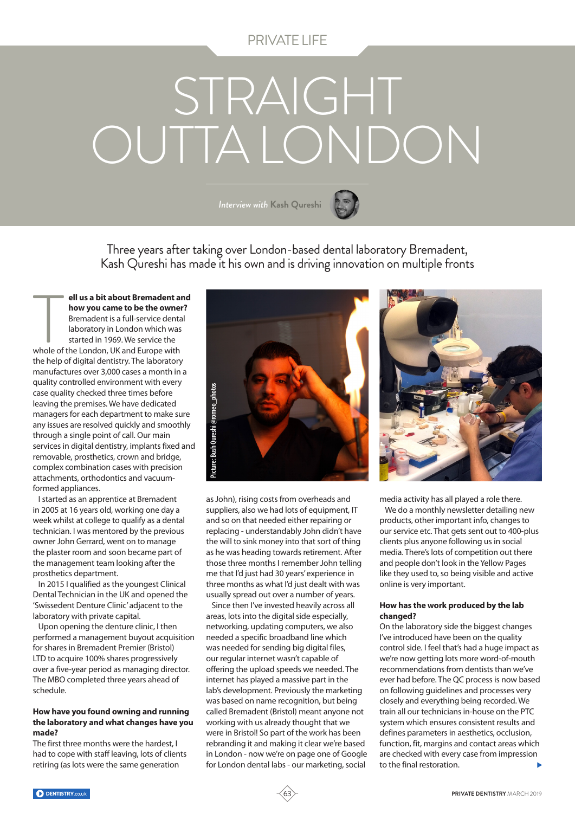# PRIVATE LIFE

# STRAIGHT OUTTA LONDON

*Interview with* **Kash Qureshi**



Three years after taking over London-based dental laboratory Bremadent, Kash Qureshi has made it his own and is driving innovation on multiple fronts

**ell us a bit about Bremadent and how you came to be the owner?** Bremadent is a full-service dental laboratory in London which was started in 1969. We service the ell us a bit about Bremadent and<br>
how you came to be the owner<br>
Bremadent is a full-service denta<br>
laboratory in London which was<br>
started in 1969. We service the<br>
whole of the London, UK and Europe with the help of digital dentistry. The laboratory manufactures over 3,000 cases a month in a quality controlled environment with every case quality checked three times before leaving the premises. We have dedicated managers for each department to make sure any issues are resolved quickly and smoothly through a single point of call. Our main services in digital dentistry, implants fixed and removable, prosthetics, crown and bridge, complex combination cases with precision attachments, orthodontics and vacuumformed appliances.

I started as an apprentice at Bremadent in 2005 at 16 years old, working one day a week whilst at college to qualify as a dental technician. I was mentored by the previous owner John Gerrard, went on to manage the plaster room and soon became part of the management team looking after the prosthetics department.

In 2015 I qualified as the youngest Clinical Dental Technician in the UK and opened the 'Swissedent Denture Clinic' adjacent to the laboratory with private capital.

Upon opening the denture clinic, I then performed a management buyout acquisition for shares in Bremadent Premier (Bristol) LTD to acquire 100% shares progressively over a five-year period as managing director. The MBO completed three years ahead of schedule.

# **How have you found owning and running the laboratory and what changes have you made?**

The first three months were the hardest, I had to cope with staff leaving, lots of clients retiring (as lots were the same generation



as John), rising costs from overheads and suppliers, also we had lots of equipment, IT and so on that needed either repairing or replacing - understandably John didn't have the will to sink money into that sort of thing as he was heading towards retirement. After those three months I remember John telling me that I'd just had 30 years' experience in three months as what I'd just dealt with was usually spread out over a number of years.

Since then I've invested heavily across all areas, lots into the digital side especially, networking, updating computers, we also needed a specific broadband line which was needed for sending big digital files, our regular internet wasn't capable of offering the upload speeds we needed. The internet has played a massive part in the lab's development. Previously the marketing was based on name recognition, but being called Bremadent (Bristol) meant anyone not working with us already thought that we were in Bristol! So part of the work has been rebranding it and making it clear we're based in London - now we're on page one of Google for London dental labs - our marketing, social

63



media activity has all played a role there.

We do a monthly newsletter detailing new products, other important info, changes to our service etc. That gets sent out to 400-plus clients plus anyone following us in social media. There's lots of competition out there and people don't look in the Yellow Pages like they used to, so being visible and active online is very important.

# **How has the work produced by the lab changed?**

On the laboratory side the biggest changes I've introduced have been on the quality control side. I feel that's had a huge impact as we're now getting lots more word-of-mouth recommendations from dentists than we've ever had before. The QC process is now based on following guidelines and processes very closely and everything being recorded. We train all our technicians in-house on the PTC system which ensures consistent results and defines parameters in aesthetics, occlusion, function, fit, margins and contact areas which are checked with every case from impression to the final restoration.